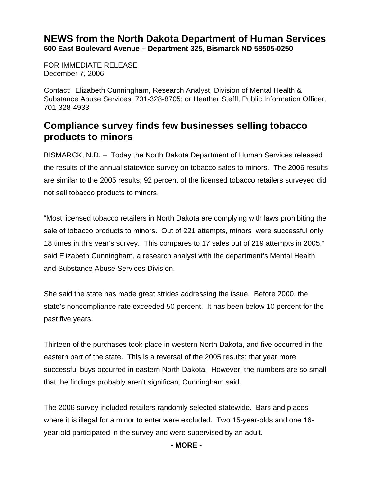## **NEWS from the North Dakota Department of Human Services 600 East Boulevard Avenue – Department 325, Bismarck ND 58505-0250**

FOR IMMEDIATE RELEASE December 7, 2006

Contact: Elizabeth Cunningham, Research Analyst, Division of Mental Health & Substance Abuse Services, 701-328-8705; or Heather Steffl, Public Information Officer, 701-328-4933

## **Compliance survey finds few businesses selling tobacco products to minors**

BISMARCK, N.D. – Today the North Dakota Department of Human Services released the results of the annual statewide survey on tobacco sales to minors. The 2006 results are similar to the 2005 results; 92 percent of the licensed tobacco retailers surveyed did not sell tobacco products to minors.

"Most licensed tobacco retailers in North Dakota are complying with laws prohibiting the sale of tobacco products to minors. Out of 221 attempts, minors were successful only 18 times in this year's survey. This compares to 17 sales out of 219 attempts in 2005," said Elizabeth Cunningham, a research analyst with the department's Mental Health and Substance Abuse Services Division.

She said the state has made great strides addressing the issue. Before 2000, the state's noncompliance rate exceeded 50 percent. It has been below 10 percent for the past five years.

Thirteen of the purchases took place in western North Dakota, and five occurred in the eastern part of the state. This is a reversal of the 2005 results; that year more successful buys occurred in eastern North Dakota. However, the numbers are so small that the findings probably aren't significant Cunningham said.

The 2006 survey included retailers randomly selected statewide. Bars and places where it is illegal for a minor to enter were excluded. Two 15-year-olds and one 16 year-old participated in the survey and were supervised by an adult.

## **- MORE -**